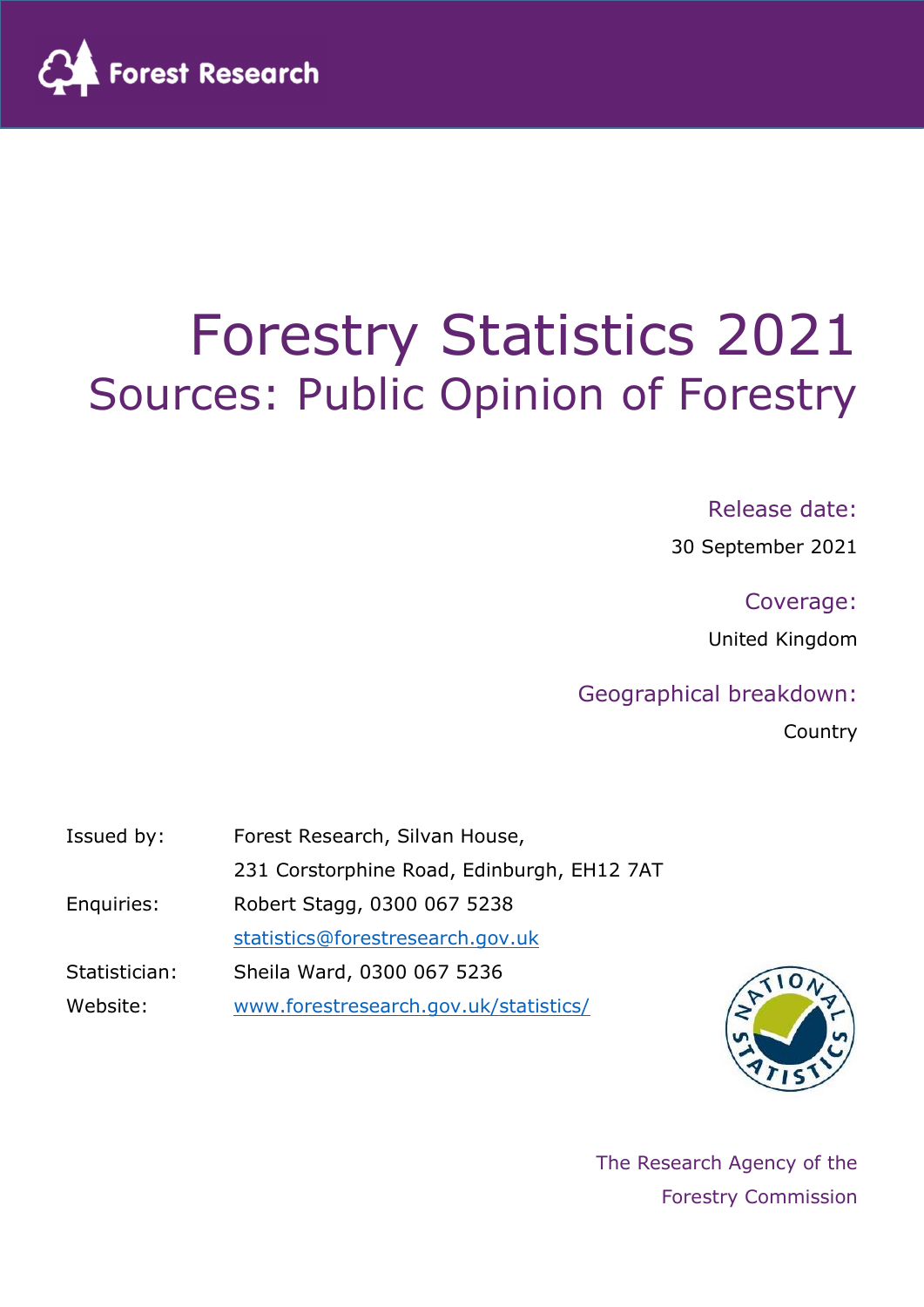

# Forestry Statistics 2021 Sources: Public Opinion of Forestry

#### Release date:

30 September 2021

Coverage:

United Kingdom

#### Geographical breakdown:

Country

| Issued by:    | Forest Research, Silvan House,             |
|---------------|--------------------------------------------|
|               | 231 Corstorphine Road, Edinburgh, EH12 7AT |
| Enquiries:    | Robert Stagg, 0300 067 5238                |
|               | statistics@forestresearch.gov.uk           |
| Statistician: | Sheila Ward, 0300 067 5236                 |
| Website:      | www.forestresearch.gov.uk/statistics/      |



The Research Agency of the Forestry Commission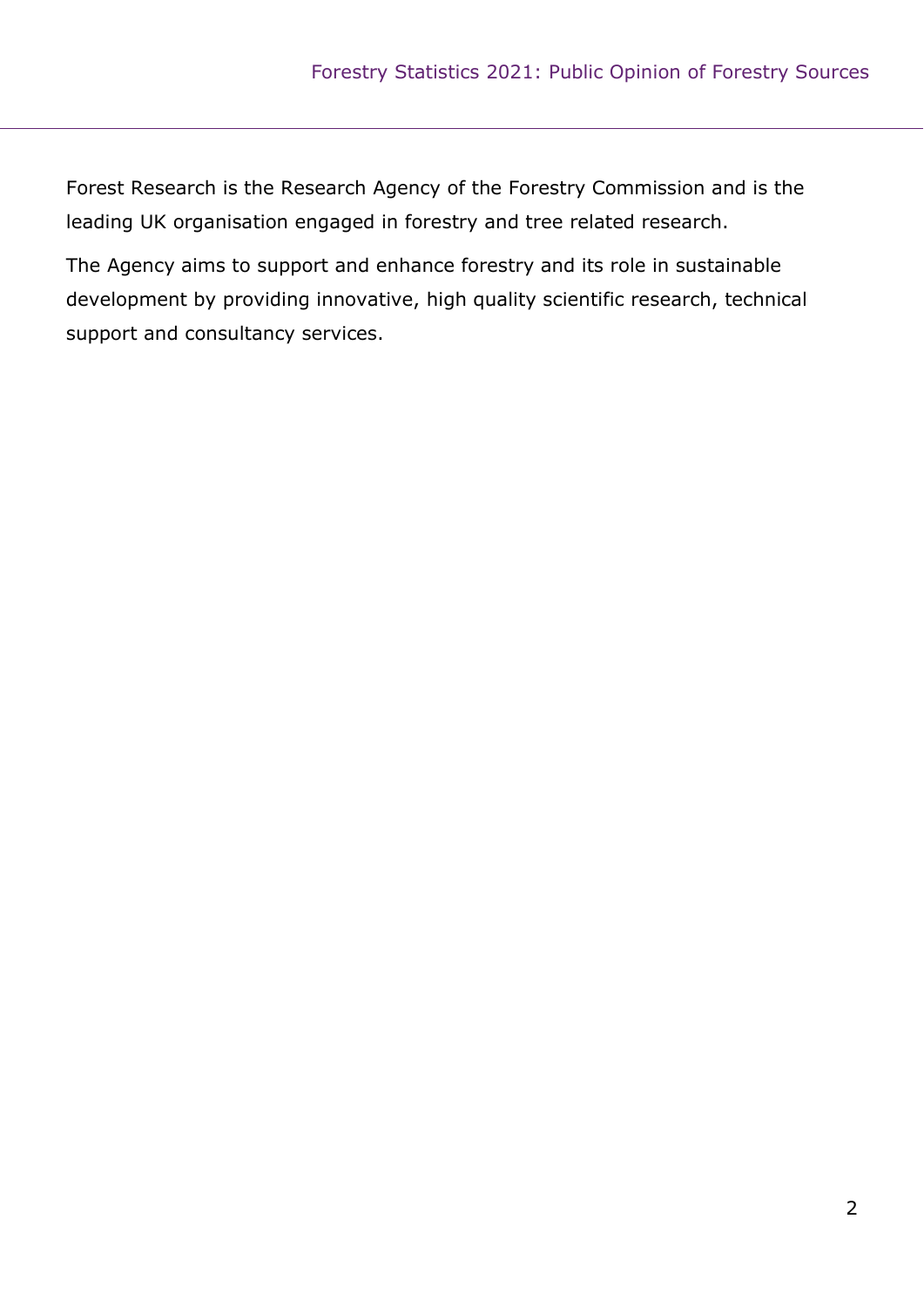Forest Research is the Research Agency of the Forestry Commission and is the leading UK organisation engaged in forestry and tree related research.

The Agency aims to support and enhance forestry and its role in sustainable development by providing innovative, high quality scientific research, technical support and consultancy services.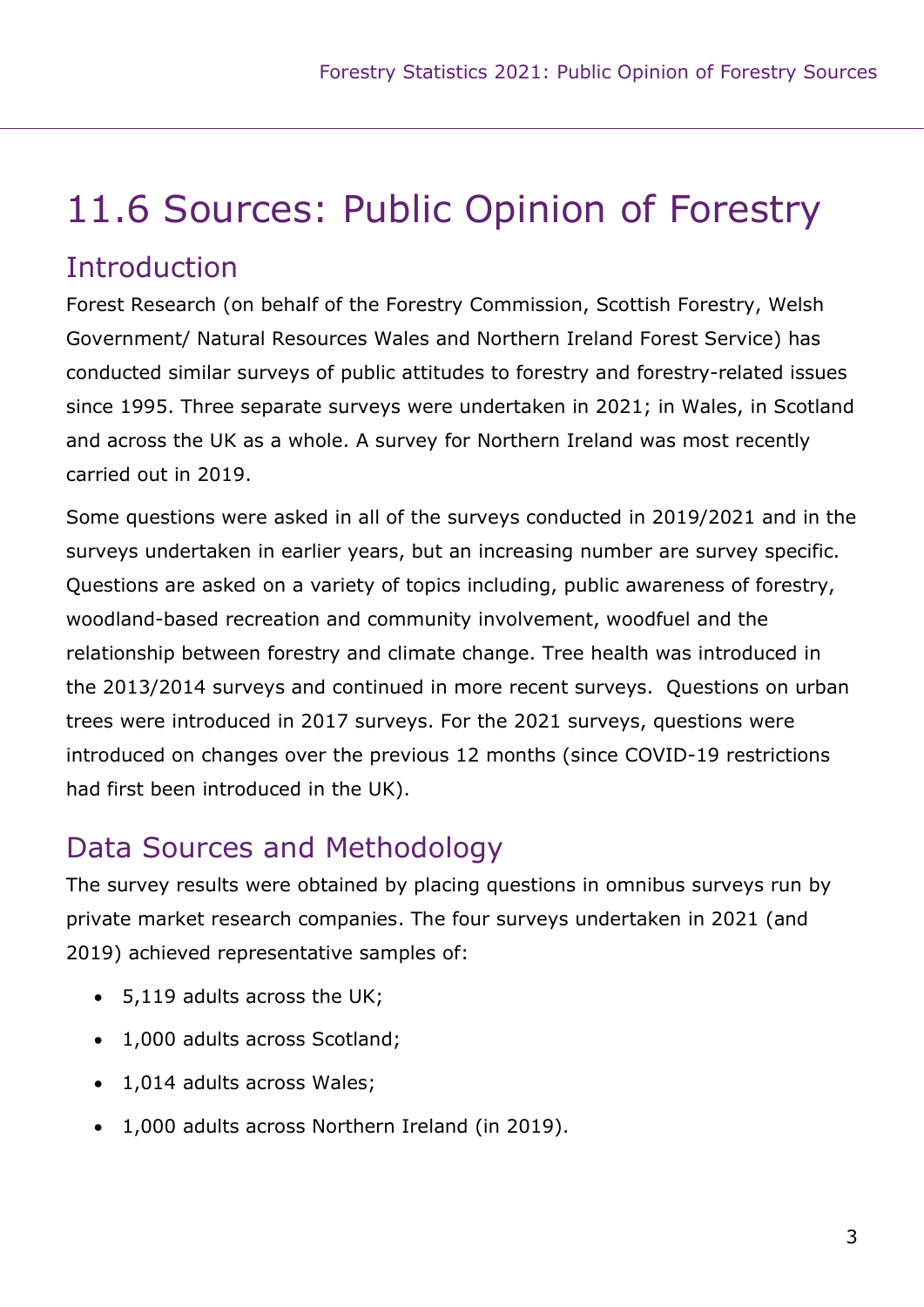## 11.6 Sources: Public Opinion of Forestry

### **Introduction**

Forest Research (on behalf of the Forestry Commission, Scottish Forestry, Welsh Government/ Natural Resources Wales and Northern Ireland Forest Service) has conducted similar surveys of public attitudes to forestry and forestry-related issues since 1995. Three separate surveys were undertaken in 2021; in Wales, in Scotland and across the UK as a whole. A survey for Northern Ireland was most recently carried out in 2019.

Some questions were asked in all of the surveys conducted in 2019/2021 and in the surveys undertaken in earlier years, but an increasing number are survey specific. Questions are asked on a variety of topics including, public awareness of forestry, woodland-based recreation and community involvement, woodfuel and the relationship between forestry and climate change. Tree health was introduced in the 2013/2014 surveys and continued in more recent surveys. Questions on urban trees were introduced in 2017 surveys. For the 2021 surveys, questions were introduced on changes over the previous 12 months (since COVID-19 restrictions had first been introduced in the UK).

### Data Sources and Methodology

The survey results were obtained by placing questions in omnibus surveys run by private market research companies. The four surveys undertaken in 2021 (and 2019) achieved representative samples of:

- 5,119 adults across the UK;
- 1,000 adults across Scotland;
- 1,014 adults across Wales;
- 1,000 adults across Northern Ireland (in 2019).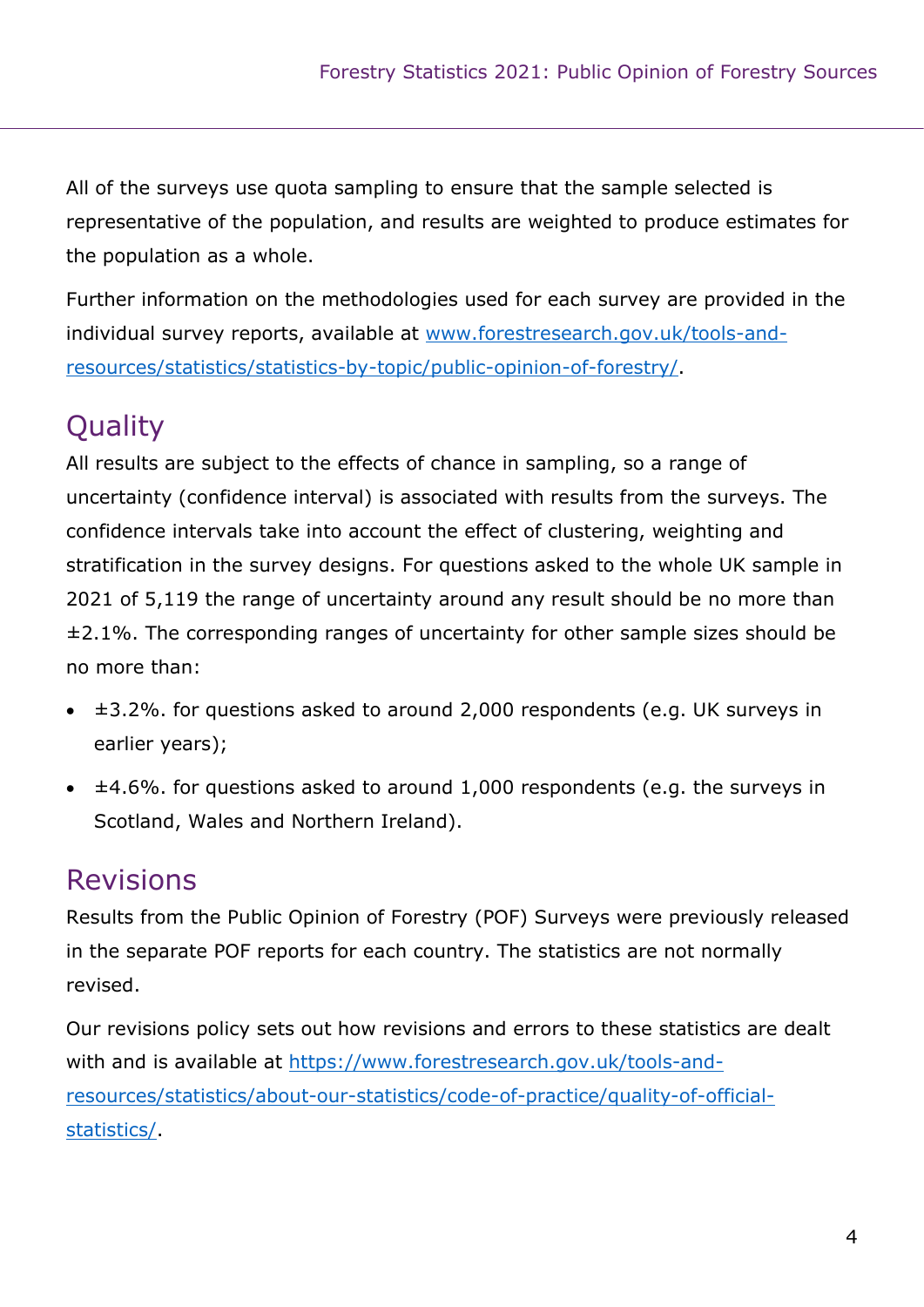All of the surveys use quota sampling to ensure that the sample selected is representative of the population, and results are weighted to produce estimates for the population as a whole.

Further information on the methodologies used for each survey are provided in the individual survey reports, available at www.forestresearch.gov.uk/tools-andresources/statistics/statistics-by-topic/public-opinion-of-forestry/.

### Quality

All results are subject to the effects of chance in sampling, so a range of uncertainty (confidence interval) is associated with results from the surveys. The confidence intervals take into account the effect of clustering, weighting and stratification in the survey designs. For questions asked to the whole UK sample in 2021 of 5,119 the range of uncertainty around any result should be no more than ±2.1%. The corresponding ranges of uncertainty for other sample sizes should be no more than:

- $\div$   $\pm$ 3.2%. for questions asked to around 2,000 respondents (e.g. UK surveys in earlier years);
- ±4.6%. for questions asked to around 1,000 respondents (e.g. the surveys in Scotland, Wales and Northern Ireland).

### **Revisions**

Results from the Public Opinion of Forestry (POF) Surveys were previously released in the separate POF reports for each country. The statistics are not normally revised.

Our revisions policy sets out how revisions and errors to these statistics are dealt with and is available at https://www.forestresearch.gov.uk/tools-andresources/statistics/about-our-statistics/code-of-practice/quality-of-officialstatistics/.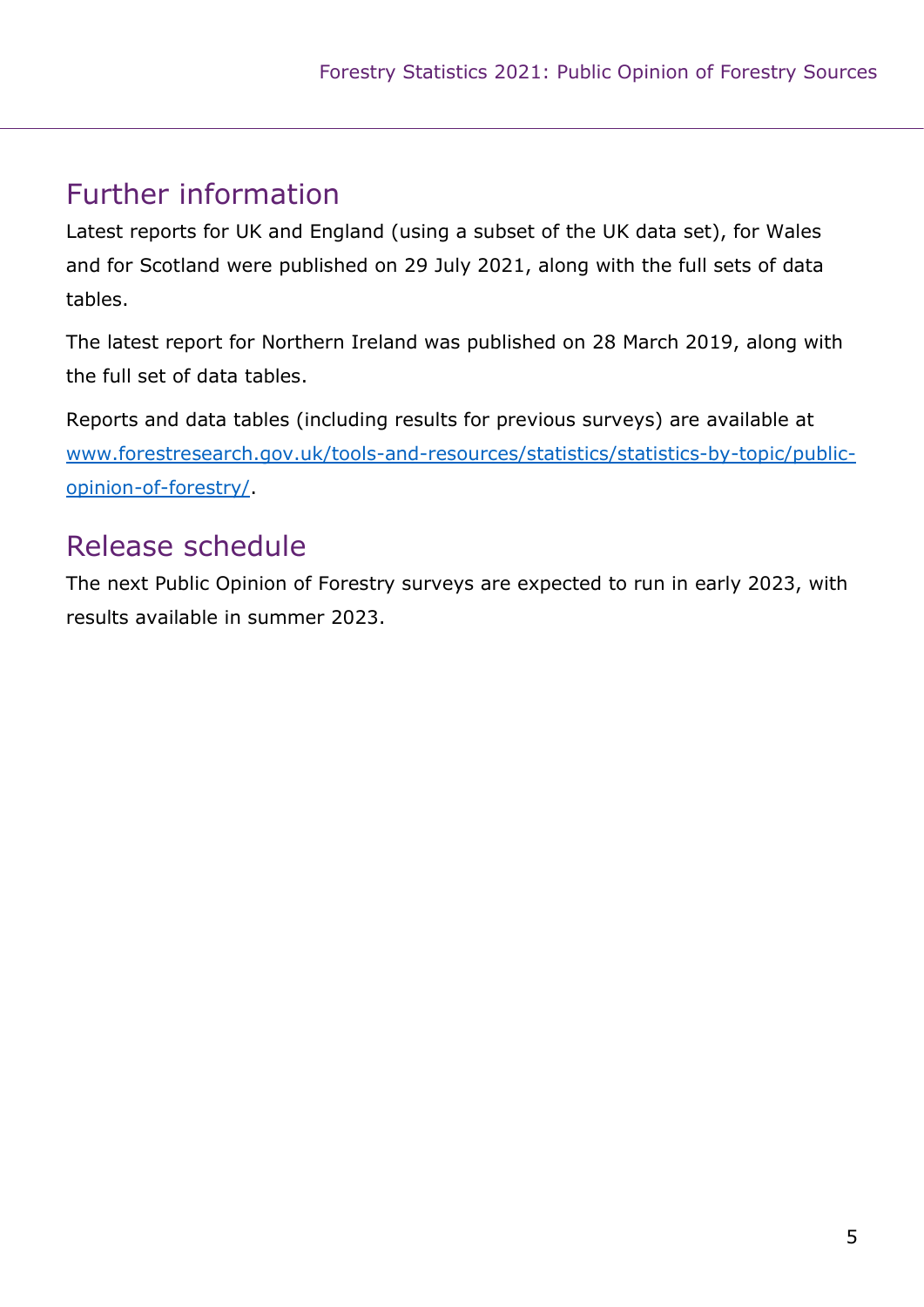### Further information

Latest reports for UK and England (using a subset of the UK data set), for Wales and for Scotland were published on 29 July 2021, along with the full sets of data tables.

The latest report for Northern Ireland was published on 28 March 2019, along with the full set of data tables.

Reports and data tables (including results for previous surveys) are available at www.forestresearch.gov.uk/tools-and-resources/statistics/statistics-by-topic/publicopinion-of-forestry/.

### Release schedule

The next Public Opinion of Forestry surveys are expected to run in early 2023, with results available in summer 2023.